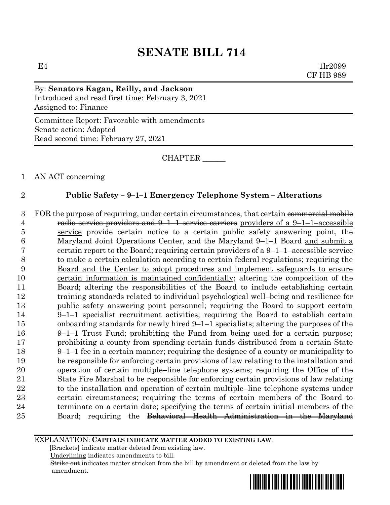$E4$  1lr2099 CF HB 989

## By: **Senators Kagan, Reilly, and Jackson** Introduced and read first time: February 3, 2021 Assigned to: Finance

Committee Report: Favorable with amendments Senate action: Adopted Read second time: February 27, 2021

CHAPTER \_\_\_\_\_\_

1 AN ACT concerning

### 2 **Public Safety – 9–1–1 Emergency Telephone System – Alterations**

3 FOR the purpose of requiring, under certain circumstances, that certain commercial mobile 4 radio service providers and  $9-1-1$  service carriers providers of a  $9-1-1$ –accessible service provide certain notice to a certain public safety answering point, the Maryland Joint Operations Center, and the Maryland 9–1–1 Board and submit a certain report to the Board; requiring certain providers of a 9–1–1–accessible service to make a certain calculation according to certain federal regulations; requiring the Board and the Center to adopt procedures and implement safeguards to ensure certain information is maintained confidentially; altering the composition of the Board; altering the responsibilities of the Board to include establishing certain training standards related to individual psychological well–being and resilience for public safety answering point personnel; requiring the Board to support certain 9–1–1 specialist recruitment activities; requiring the Board to establish certain onboarding standards for newly hired 9–1–1 specialists; altering the purposes of the 9–1–1 Trust Fund; prohibiting the Fund from being used for a certain purpose; prohibiting a county from spending certain funds distributed from a certain State 9–1–1 fee in a certain manner; requiring the designee of a county or municipality to be responsible for enforcing certain provisions of law relating to the installation and operation of certain multiple–line telephone systems; requiring the Office of the State Fire Marshal to be responsible for enforcing certain provisions of law relating 22 to the installation and operation of certain multiple–line telephone systems under certain circumstances; requiring the terms of certain members of the Board to terminate on a certain date; specifying the terms of certain initial members of the Board; requiring the Behavioral Health Administration in the Maryland

EXPLANATION: **CAPITALS INDICATE MATTER ADDED TO EXISTING LAW**.

 **[**Brackets**]** indicate matter deleted from existing law.

Underlining indicates amendments to bill.

 Strike out indicates matter stricken from the bill by amendment or deleted from the law by amendment.

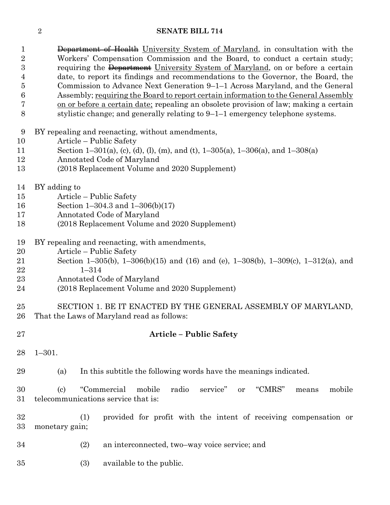1 Department of Health University System of Maryland, in consultation with the Workers' Compensation Commission and the Board, to conduct a certain study; 3 requiring the Department University System of Maryland, on or before a certain date, to report its findings and recommendations to the Governor, the Board, the Commission to Advance Next Generation 9–1–1 Across Maryland, and the General Assembly; requiring the Board to report certain information to the General Assembly on or before a certain date; repealing an obsolete provision of law; making a certain stylistic change; and generally relating to 9–1–1 emergency telephone systems.

BY repealing and reenacting, without amendments,

- Article Public Safety
- Section 1–301(a), (c), (d), (l), (m), and (t), 1–305(a), 1–306(a), and 1–308(a)
- Annotated Code of Maryland
- (2018 Replacement Volume and 2020 Supplement)
- BY adding to
- Article Public Safety
- Section 1–304.3 and 1–306(b)(17)
- Annotated Code of Maryland
- (2018 Replacement Volume and 2020 Supplement)
- BY repealing and reenacting, with amendments,
- Article Public Safety
- Section 1–305(b), 1–306(b)(15) and (16) and (e), 1–308(b), 1–309(c), 1–312(a), and 1–314
- Annotated Code of Maryland
- (2018 Replacement Volume and 2020 Supplement)

 SECTION 1. BE IT ENACTED BY THE GENERAL ASSEMBLY OF MARYLAND, That the Laws of Maryland read as follows:

- **Article – Public Safety**
- 1–301.

(a) In this subtitle the following words have the meanings indicated.

 (c) "Commercial mobile radio service" or "CMRS" means mobile telecommunications service that is:

 (1) provided for profit with the intent of receiving compensation or monetary gain;

- (2) an interconnected, two–way voice service; and
- (3) available to the public.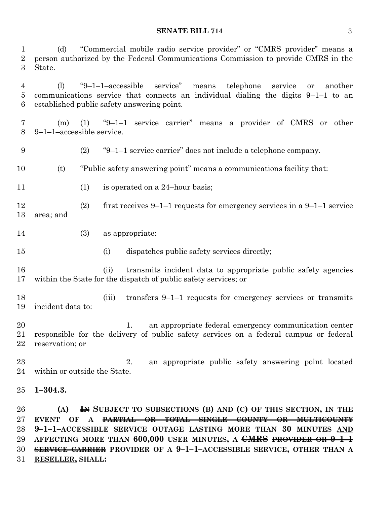(d) "Commercial mobile radio service provider" or "CMRS provider" means a person authorized by the Federal Communications Commission to provide CMRS in the State.

 (l) "9–1–1–accessible service" means telephone service or another communications service that connects an individual dialing the digits 9–1–1 to an established public safety answering point.

- (m) (1) "9–1–1 service carrier" means a provider of CMRS or other 9–1–1–accessible service.
- (2) "9–1–1 service carrier" does not include a telephone company.
- (t) "Public safety answering point" means a communications facility that:
- 11 (1) is operated on a 24-hour basis;
- (2) first receives 9–1–1 requests for emergency services in a 9–1–1 service area; and
- (3) as appropriate:
- (i) dispatches public safety services directly;
- (ii) transmits incident data to appropriate public safety agencies within the State for the dispatch of public safety services; or

 (iii) transfers 9–1–1 requests for emergency services or transmits incident data to:

- 1. an appropriate federal emergency communication center responsible for the delivery of public safety services on a federal campus or federal reservation; or
- 2. an appropriate public safety answering point located within or outside the State.
- **1–304.3.**

 **(A) IN SUBJECT TO SUBSECTIONS (B) AND (C) OF THIS SECTION, IN THE EVENT OF A PARTIAL OR TOTAL SINGLE COUNTY OR MULTICOUNTY 9–1–1–ACCESSIBLE SERVICE OUTAGE LASTING MORE THAN 30 MINUTES AND AFFECTING MORE THAN 600,000 USER MINUTES, A CMRS PROVIDER OR 9–1–1 SERVICE CARRIER PROVIDER OF A 9–1–1–ACCESSIBLE SERVICE, OTHER THAN A RESELLER, SHALL:**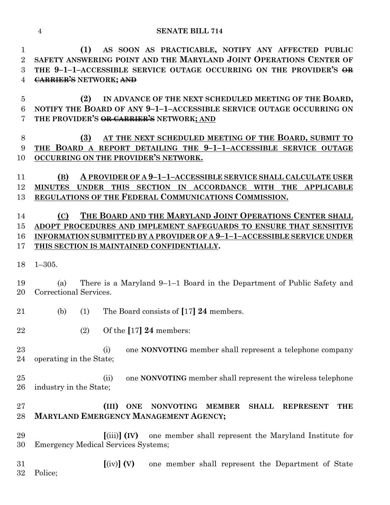**(1) AS SOON AS PRACTICABLE, NOTIFY ANY AFFECTED PUBLIC SAFETY ANSWERING POINT AND THE MARYLAND JOINT OPERATIONS CENTER OF THE 9–1–1–ACCESSIBLE SERVICE OUTAGE OCCURRING ON THE PROVIDER'S OR CARRIER'S NETWORK; AND**

 **(2) IN ADVANCE OF THE NEXT SCHEDULED MEETING OF THE BOARD, NOTIFY THE BOARD OF ANY 9–1–1–ACCESSIBLE SERVICE OUTAGE OCCURRING ON THE PROVIDER'S OR CARRIER'S NETWORK; AND**

# **(3) AT THE NEXT SCHEDULED MEETING OF THE BOARD, SUBMIT TO THE BOARD A REPORT DETAILING THE 9–1–1–ACCESSIBLE SERVICE OUTAGE OCCURRING ON THE PROVIDER'S NETWORK.**

 **(B) A PROVIDER OF A 9–1–1–ACCESSIBLE SERVICE SHALL CALCULATE USER MINUTES UNDER THIS SECTION IN ACCORDANCE WITH THE APPLICABLE REGULATIONS OF THE FEDERAL COMMUNICATIONS COMMISSION.**

# **(C) THE BOARD AND THE MARYLAND JOINT OPERATIONS CENTER SHALL ADOPT PROCEDURES AND IMPLEMENT SAFEGUARDS TO ENSURE THAT SENSITIVE INFORMATION SUBMITTED BY A PROVIDER OF A 9–1–1–ACCESSIBLE SERVICE UNDER THIS SECTION IS MAINTAINED CONFIDENTIALLY.**

## 1–305.

 (a) There is a Maryland 9–1–1 Board in the Department of Public Safety and Correctional Services.

(b) (1) The Board consists of **[**17**] 24** members.

(2) Of the **[**17**] 24** members:

 (i) one **NONVOTING** member shall represent a telephone company operating in the State;

 (ii) one **NONVOTING** member shall represent the wireless telephone industry in the State;

# **(III) ONE NONVOTING MEMBER SHALL REPRESENT THE MARYLAND EMERGENCY MANAGEMENT AGENCY;**

 **[**(iii)**] (IV)** one member shall represent the Maryland Institute for Emergency Medical Services Systems;

 **[**(iv)**] (V)** one member shall represent the Department of State Police;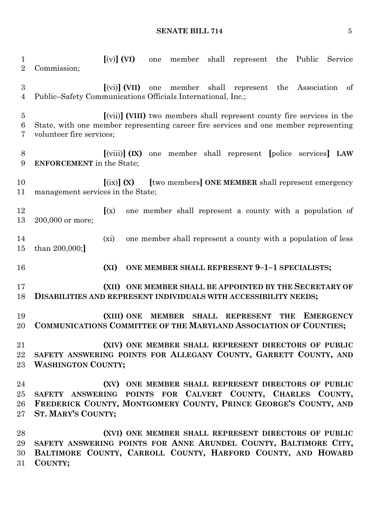**[**(v)**] (VI)** one member shall represent the Public Service Commission; **[**(vi)**] (VII)** one member shall represent the Association of Public–Safety Communications Officials International, Inc.; **[**(vii)**] (VIII)** two members shall represent county fire services in the State, with one member representing career fire services and one member representing volunteer fire services; **[**(viii)**] (IX)** one member shall represent **[**police services**] LAW ENFORCEMENT** in the State; **[**(ix)**] (X) [**two members**] ONE MEMBER** shall represent emergency management services in the State; **[**(x) one member shall represent a county with a population of 200,000 or more; (xi) one member shall represent a county with a population of less than 200,000;**] (XI) ONE MEMBER SHALL REPRESENT 9–1–1 SPECIALISTS; (XII) ONE MEMBER SHALL BE APPOINTED BY THE SECRETARY OF DISABILITIES AND REPRESENT INDIVIDUALS WITH ACCESSIBILITY NEEDS; (XIII) ONE MEMBER SHALL REPRESENT THE EMERGENCY COMMUNICATIONS COMMITTEE OF THE MARYLAND ASSOCIATION OF COUNTIES; (XIV) ONE MEMBER SHALL REPRESENT DIRECTORS OF PUBLIC SAFETY ANSWERING POINTS FOR ALLEGANY COUNTY, GARRETT COUNTY, AND WASHINGTON COUNTY; (XV) ONE MEMBER SHALL REPRESENT DIRECTORS OF PUBLIC SAFETY ANSWERING POINTS FOR CALVERT COUNTY, CHARLES COUNTY, FREDERICK COUNTY, MONTGOMERY COUNTY, PRINCE GEORGE'S COUNTY, AND ST. MARY'S COUNTY; (XVI) ONE MEMBER SHALL REPRESENT DIRECTORS OF PUBLIC SAFETY ANSWERING POINTS FOR ANNE ARUNDEL COUNTY, BALTIMORE CITY, BALTIMORE COUNTY, CARROLL COUNTY, HARFORD COUNTY, AND HOWARD** 

**COUNTY;**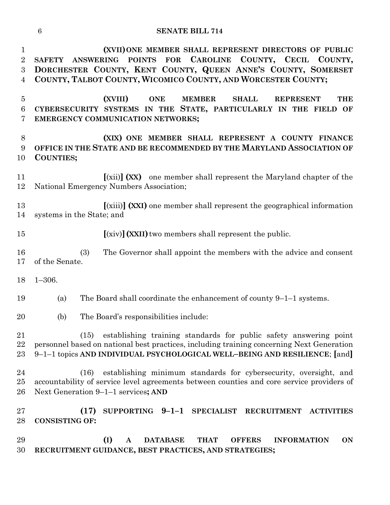**(XVII)ONE MEMBER SHALL REPRESENT DIRECTORS OF PUBLIC SAFETY ANSWERING POINTS FOR CAROLINE COUNTY, CECIL COUNTY, DORCHESTER COUNTY, KENT COUNTY, QUEEN ANNE'S COUNTY, SOMERSET COUNTY, TALBOT COUNTY, WICOMICO COUNTY, AND WORCESTER COUNTY;**

 **(XVIII) ONE MEMBER SHALL REPRESENT THE CYBERSECURITY SYSTEMS IN THE STATE, PARTICULARLY IN THE FIELD OF EMERGENCY COMMUNICATION NETWORKS;**

 **(XIX) ONE MEMBER SHALL REPRESENT A COUNTY FINANCE OFFICE IN THE STATE AND BE RECOMMENDED BY THE MARYLAND ASSOCIATION OF COUNTIES;**

 **[**(xii)**] (XX)** one member shall represent the Maryland chapter of the National Emergency Numbers Association;

 **[**(xiii)**] (XXI)** one member shall represent the geographical information systems in the State; and

**[**(xiv)**](XXII)**two members shall represent the public.

 (3) The Governor shall appoint the members with the advice and consent of the Senate.

1–306.

(a) The Board shall coordinate the enhancement of county 9–1–1 systems.

(b) The Board's responsibilities include:

 (15) establishing training standards for public safety answering point personnel based on national best practices, including training concerning Next Generation 9–1–1 topics **AND INDIVIDUAL PSYCHOLOGICAL WELL–BEING AND RESILIENCE**; **[**and**]**

 (16) establishing minimum standards for cybersecurity, oversight, and accountability of service level agreements between counties and core service providers of Next Generation 9–1–1 services**; AND**

 **(17) SUPPORTING 9–1–1 SPECIALIST RECRUITMENT ACTIVITIES CONSISTING OF:**

 **(I) A DATABASE THAT OFFERS INFORMATION ON RECRUITMENT GUIDANCE, BEST PRACTICES, AND STRATEGIES;**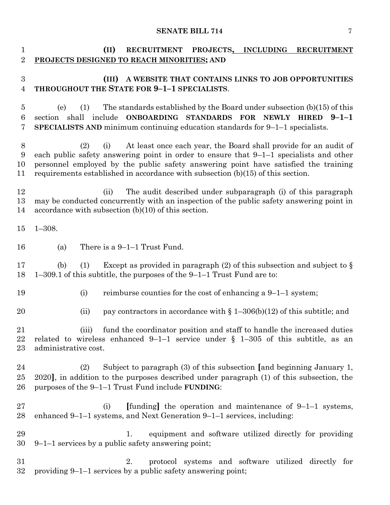| 1<br>$\overline{2}$                | (II)<br>RECRUITMENT PROJECTS, INCLUDING RECRUITMENT<br>PROJECTS DESIGNED TO REACH MINORITIES; AND                                                                                                                                                                                                                                                      |
|------------------------------------|--------------------------------------------------------------------------------------------------------------------------------------------------------------------------------------------------------------------------------------------------------------------------------------------------------------------------------------------------------|
| $\boldsymbol{3}$<br>$\overline{4}$ | (III)<br>A WEBSITE THAT CONTAINS LINKS TO JOB OPPORTUNITIES<br>THROUGHOUT THE STATE FOR 9-1-1 SPECIALISTS.                                                                                                                                                                                                                                             |
| 5<br>6<br>7                        | The standards established by the Board under subsection $(b)(15)$ of this<br>(e)<br>(1)<br>section shall include ONBOARDING STANDARDS FOR NEWLY HIRED 9-1-1<br><b>SPECIALISTS AND</b> minimum continuing education standards for $9-1-1$ specialists.                                                                                                  |
| 8<br>9<br>10<br>11                 | At least once each year, the Board shall provide for an audit of<br>(2)<br>(i)<br>each public safety answering point in order to ensure that $9-1-1$ specialists and other<br>personnel employed by the public safety answering point have satisfied the training<br>requirements established in accordance with subsection $(b)(15)$ of this section. |
| 12<br>13<br>14                     | The audit described under subparagraph (i) of this paragraph<br>(ii)<br>may be conducted concurrently with an inspection of the public safety answering point in<br>accordance with subsection $(b)(10)$ of this section.                                                                                                                              |
| 15                                 | $1 - 308.$                                                                                                                                                                                                                                                                                                                                             |
| 16                                 | There is a $9-1-1$ Trust Fund.<br>(a)                                                                                                                                                                                                                                                                                                                  |
| 17<br>18                           | Except as provided in paragraph (2) of this subsection and subject to $\S$<br>(1)<br>(b)<br>$1-309.1$ of this subtitle, the purposes of the $9-1-1$ Trust Fund are to:                                                                                                                                                                                 |
| 19                                 | (i)<br>reimburse counties for the cost of enhancing a $9-1-1$ system;                                                                                                                                                                                                                                                                                  |
| 20                                 | pay contractors in accordance with $\S 1-306(b)(12)$ of this subtitle; and<br>(ii)                                                                                                                                                                                                                                                                     |
| 21<br>$22\,$<br>$23\,$             | fund the coordinator position and staff to handle the increased duties<br>(iii)<br>related to wireless enhanced 9-1-1 service under $\S$ 1-305 of this subtitle, as an<br>administrative cost.                                                                                                                                                         |
| 24<br>$25\,$<br>26                 | Subject to paragraph (3) of this subsection [and beginning January 1,<br>(2)<br>2020], in addition to the purposes described under paragraph (1) of this subsection, the<br>purposes of the 9-1-1 Trust Fund include FUNDING:                                                                                                                          |
| $27\,$<br>28                       | [funding] the operation and maintenance of $9-1-1$ systems,<br>(i)<br>enhanced 9-1-1 systems, and Next Generation 9-1-1 services, including:                                                                                                                                                                                                           |
| 29<br>30                           | equipment and software utilized directly for providing<br>1.<br>$9-1-1$ services by a public safety answering point;                                                                                                                                                                                                                                   |
| 31<br>$32\,$                       | protocol systems and software utilized directly for<br>2.<br>providing 9-1-1 services by a public safety answering point;                                                                                                                                                                                                                              |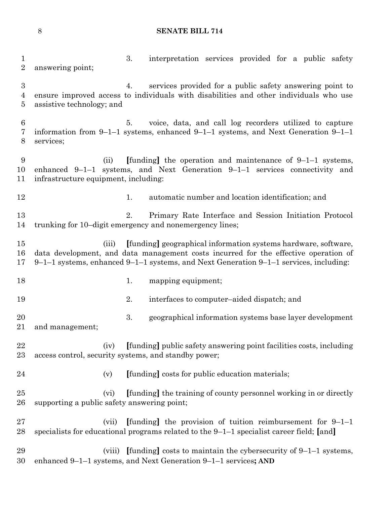3. interpretation services provided for a public safety answering point; 4. services provided for a public safety answering point to ensure improved access to individuals with disabilities and other individuals who use assistive technology; and 5. voice, data, and call log recorders utilized to capture information from 9–1–1 systems, enhanced 9–1–1 systems, and Next Generation 9–1–1 services; (ii) **[**funding**]** the operation and maintenance of 9–1–1 systems, enhanced 9–1–1 systems, and Next Generation 9–1–1 services connectivity and infrastructure equipment, including: 12 12 1. automatic number and location identification; and 2. Primary Rate Interface and Session Initiation Protocol trunking for 10–digit emergency and nonemergency lines; (iii) **[**funding**]** geographical information systems hardware, software, data development, and data management costs incurred for the effective operation of 9–1–1 systems, enhanced 9–1–1 systems, and Next Generation 9–1–1 services, including: 18 1. mapping equipment; 2. interfaces to computer–aided dispatch; and 3. geographical information systems base layer development and management; (iv) **[**funding**]** public safety answering point facilities costs, including access control, security systems, and standby power; (v) **[**funding**]** costs for public education materials; (vi) **[**funding**]** the training of county personnel working in or directly supporting a public safety answering point; (vii) **[**funding**]** the provision of tuition reimbursement for 9–1–1 specialists for educational programs related to the 9–1–1 specialist career field; **[**and**]** (viii) **[**funding**]** costs to maintain the cybersecurity of 9–1–1 systems, enhanced 9–1–1 systems, and Next Generation 9–1–1 services**; AND**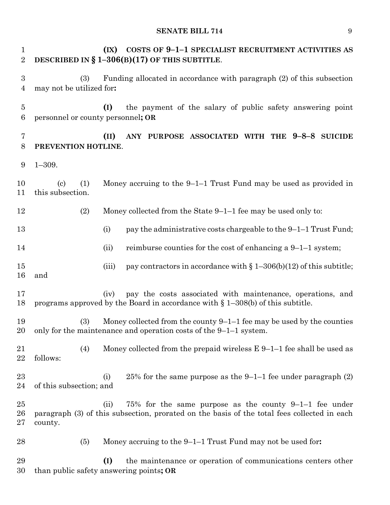**(IX) COSTS OF 9–1–1 SPECIALIST RECRUITMENT ACTIVITIES AS DESCRIBED IN § 1–306(B)(17) OF THIS SUBTITLE**. (3) Funding allocated in accordance with paragraph (2) of this subsection may not be utilized for**: (I)** the payment of the salary of public safety answering point personnel or county personnel**; OR (II) ANY PURPOSE ASSOCIATED WITH THE 9–8–8 SUICIDE PREVENTION HOTLINE**. 1–309. (c) (1) Money accruing to the 9–1–1 Trust Fund may be used as provided in this subsection. (2) Money collected from the State 9–1–1 fee may be used only to: 13 (i) pay the administrative costs chargeable to the 9–1–1 Trust Fund; 14 (ii) reimburse counties for the cost of enhancing a 9–1–1 system; 15 (iii) pay contractors in accordance with  $\S 1-306(b)(12)$  of this subtitle; and (iv) pay the costs associated with maintenance, operations, and 18 programs approved by the Board in accordance with  $\S$  1–308(b) of this subtitle. (3) Money collected from the county 9–1–1 fee may be used by the counties only for the maintenance and operation costs of the 9–1–1 system. 21 (4) Money collected from the prepaid wireless  $E 9-1-1$  fee shall be used as follows: 23 (i) 25% for the same purpose as the  $9-1-1$  fee under paragraph  $(2)$  of this subsection; and (ii) 75% for the same purpose as the county 9–1–1 fee under paragraph (3) of this subsection, prorated on the basis of the total fees collected in each county. (5) Money accruing to the 9–1–1 Trust Fund may not be used for**: (I)** the maintenance or operation of communications centers other than public safety answering points**; OR**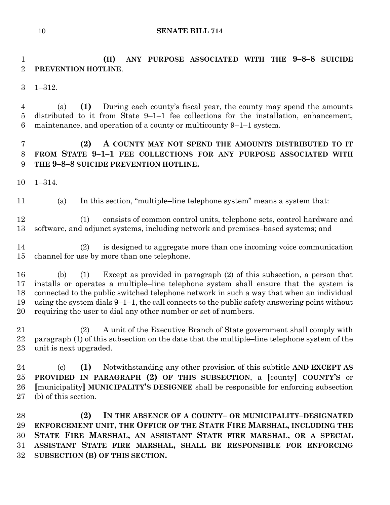**(II) ANY PURPOSE ASSOCIATED WITH THE 9–8–8 SUICIDE PREVENTION HOTLINE**.

1–312.

 (a) **(1)** During each county's fiscal year, the county may spend the amounts distributed to it from State 9–1–1 fee collections for the installation, enhancement, maintenance, and operation of a county or multicounty 9–1–1 system.

# **(2) A COUNTY MAY NOT SPEND THE AMOUNTS DISTRIBUTED TO IT FROM STATE 9–1–1 FEE COLLECTIONS FOR ANY PURPOSE ASSOCIATED WITH THE 9–8–8 SUICIDE PREVENTION HOTLINE.**

1–314.

(a) In this section, "multiple–line telephone system" means a system that:

 (1) consists of common control units, telephone sets, control hardware and software, and adjunct systems, including network and premises–based systems; and

 (2) is designed to aggregate more than one incoming voice communication channel for use by more than one telephone.

 (b) (1) Except as provided in paragraph (2) of this subsection, a person that installs or operates a multiple–line telephone system shall ensure that the system is connected to the public switched telephone network in such a way that when an individual using the system dials 9–1–1, the call connects to the public safety answering point without requiring the user to dial any other number or set of numbers.

 (2) A unit of the Executive Branch of State government shall comply with paragraph (1) of this subsection on the date that the multiple–line telephone system of the unit is next upgraded.

 (c) **(1)** Notwithstanding any other provision of this subtitle **AND EXCEPT AS PROVIDED IN PARAGRAPH (2) OF THIS SUBSECTION**, a **[**county**] COUNTY'S** or **[**municipality**] MUNICIPALITY'S DESIGNEE** shall be responsible for enforcing subsection (b) of this section.

 **(2) IN THE ABSENCE OF A COUNTY– OR MUNICIPALITY–DESIGNATED ENFORCEMENT UNIT, THE OFFICE OF THE STATE FIRE MARSHAL, INCLUDING THE STATE FIRE MARSHAL, AN ASSISTANT STATE FIRE MARSHAL, OR A SPECIAL ASSISTANT STATE FIRE MARSHAL, SHALL BE RESPONSIBLE FOR ENFORCING SUBSECTION (B) OF THIS SECTION.**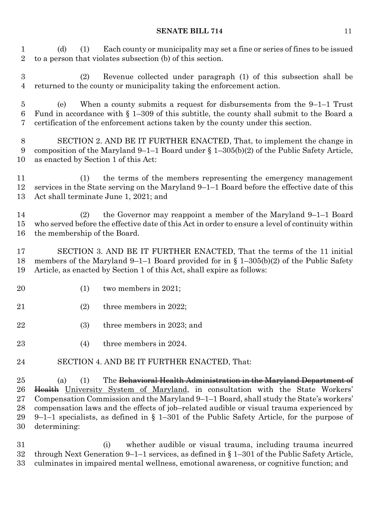(d) (1) Each county or municipality may set a fine or series of fines to be issued to a person that violates subsection (b) of this section.

 (2) Revenue collected under paragraph (1) of this subsection shall be returned to the county or municipality taking the enforcement action.

 (e) When a county submits a request for disbursements from the 9–1–1 Trust Fund in accordance with § 1–309 of this subtitle, the county shall submit to the Board a certification of the enforcement actions taken by the county under this section.

 SECTION 2. AND BE IT FURTHER ENACTED, That, to implement the change in composition of the Maryland 9–1–1 Board under § 1–305(b)(2) of the Public Safety Article, as enacted by Section 1 of this Act:

 (1) the terms of the members representing the emergency management services in the State serving on the Maryland 9–1–1 Board before the effective date of this Act shall terminate June 1, 2021; and

 (2) the Governor may reappoint a member of the Maryland 9–1–1 Board who served before the effective date of this Act in order to ensure a level of continuity within the membership of the Board.

 SECTION 3. AND BE IT FURTHER ENACTED, That the terms of the 11 initial members of the Maryland 9–1–1 Board provided for in § 1–305(b)(2) of the Public Safety Article, as enacted by Section 1 of this Act, shall expire as follows:

- (1) two members in 2021;
- (2) three members in 2022;
- (3) three members in 2023; and
- (4) three members in 2024.
- SECTION 4. AND BE IT FURTHER ENACTED, That:

25 (a) (1) The <del>Behavioral Health Administration in the Maryland Department of</del> 26 Health University System of Maryland, in consultation with the State Workers' Compensation Commission and the Maryland 9–1–1 Board, shall study the State's workers' compensation laws and the effects of job–related audible or visual trauma experienced by 9–1–1 specialists, as defined in § 1–301 of the Public Safety Article, for the purpose of determining:

 (i) whether audible or visual trauma, including trauma incurred through Next Generation 9–1–1 services, as defined in § 1–301 of the Public Safety Article, culminates in impaired mental wellness, emotional awareness, or cognitive function; and